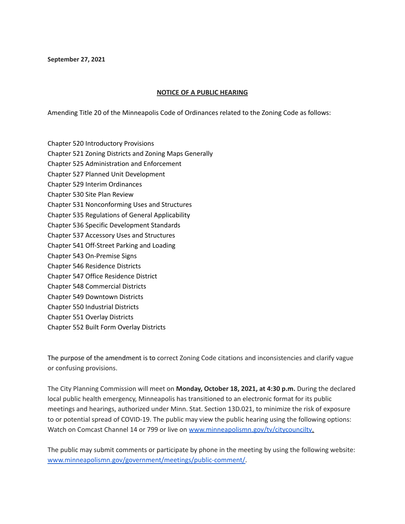**September 27, 2021**

## **NOTICE OF A PUBLIC HEARING**

Amending Title 20 of the Minneapolis Code of Ordinances related to the Zoning Code as follows:

- Chapter 520 Introductory Provisions
- Chapter 521 Zoning Districts and Zoning Maps Generally
- Chapter 525 Administration and Enforcement
- Chapter 527 Planned Unit Development
- Chapter 529 Interim Ordinances
- Chapter 530 Site Plan Review
- Chapter 531 Nonconforming Uses and Structures
- Chapter 535 Regulations of General Applicability
- Chapter 536 Specific Development Standards
- Chapter 537 Accessory Uses and Structures
- Chapter 541 Off-Street Parking and Loading
- Chapter 543 On-Premise Signs
- Chapter 546 Residence Districts
- Chapter 547 Office Residence District
- Chapter 548 Commercial Districts
- Chapter 549 Downtown Districts
- Chapter 550 Industrial Districts
- Chapter 551 Overlay Districts
- Chapter 552 Built Form Overlay Districts

The purpose of the amendment is to correct Zoning Code citations and inconsistencies and clarify vague or confusing provisions.

The City Planning Commission will meet on **Monday, October 18, 2021, at 4:30 p.m.** During the declared local public health emergency, Minneapolis has transitioned to an electronic format for its public meetings and hearings, authorized under Minn. Stat. Section 13D.021, to minimize the risk of exposure to or potential spread of COVID-19. The public may view the public hearing using the following options: Watch on Comcast Channel 14 or 799 or live on www.minneapolismn.gov/tv/citycouncilty.

The public may submit comments or participate by phone in the meeting by using the following website: [www.minneapolismn.gov/government/meetings/public-comment/.](http://www.minneapolismn.gov/government/meetings/public-comment/)